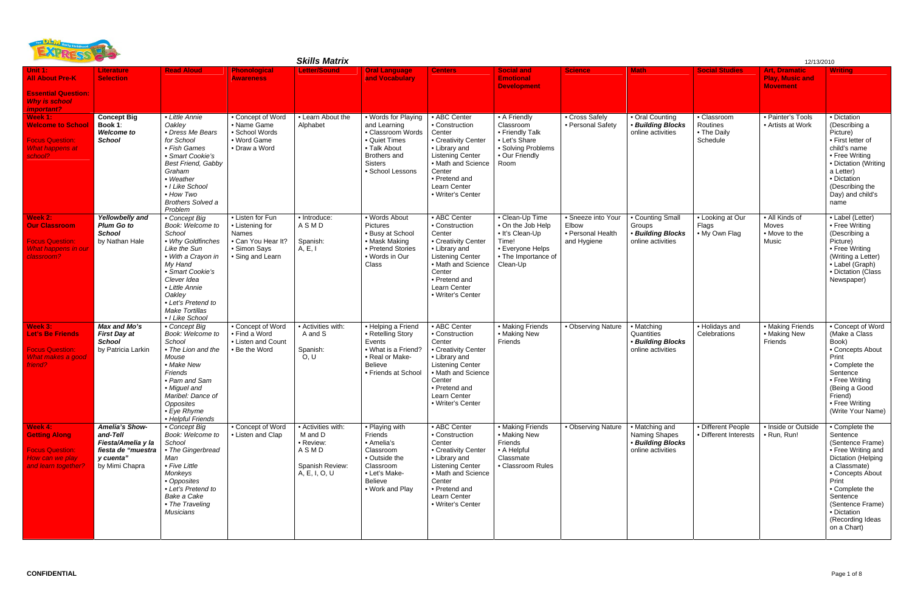| <b>BULLET</b><br><b>Skills Matrix</b>                                                                     |                                                                                                       |                                                                                                                                                                                                                                                    |                                                                                                        |                                                                                        |                                                                                                                                                 |                                                                                                                                                                                                   |                                                                                                                         |                                                                 | 12/13/2010                                                                |                                                    |                                                                   |                                                                                                                                                                                                                                             |  |  |
|-----------------------------------------------------------------------------------------------------------|-------------------------------------------------------------------------------------------------------|----------------------------------------------------------------------------------------------------------------------------------------------------------------------------------------------------------------------------------------------------|--------------------------------------------------------------------------------------------------------|----------------------------------------------------------------------------------------|-------------------------------------------------------------------------------------------------------------------------------------------------|---------------------------------------------------------------------------------------------------------------------------------------------------------------------------------------------------|-------------------------------------------------------------------------------------------------------------------------|-----------------------------------------------------------------|---------------------------------------------------------------------------|----------------------------------------------------|-------------------------------------------------------------------|---------------------------------------------------------------------------------------------------------------------------------------------------------------------------------------------------------------------------------------------|--|--|
| Unit $1:$<br><b>All About Pre-K</b><br><b>Essential Question:</b><br><b>Why is school</b>                 | Literature<br><b>Selection</b>                                                                        | <b>Read Aloud</b>                                                                                                                                                                                                                                  | <b>Phonological</b><br><b>Awareness</b>                                                                | <b>Letter/Sound</b>                                                                    | <b>Oral Language</b><br>and Vocabulary                                                                                                          | <b>Centers</b>                                                                                                                                                                                    | <b>Social and</b><br><b>Emotional</b><br><b>Development</b>                                                             | <b>Science</b>                                                  | <b>Math</b>                                                               | <b>Social Studies</b>                              | <b>Art. Dramatic</b><br><b>Play, Music and</b><br><b>Movement</b> | <b>Writing</b>                                                                                                                                                                                                                              |  |  |
| important?<br>Week 1:<br><b>Welcome to School</b><br><b>Focus Question:</b><br>What happens at<br>school? | <b>Concept Big</b><br>Book 1:<br><b>Welcome to</b><br><b>School</b>                                   | • Little Annie<br>Oakley<br>• Dress Me Bears<br>for School<br>• Fish Games<br>• Smart Cookie's<br><b>Best Friend, Gabby</b><br>Graham<br>• Weather<br>• I Like School<br>• How Two<br><b>Brothers Solved a</b><br>Problem                          | • Concept of Word<br>• Name Game<br>• School Words<br>• Word Game<br>• Draw a Word                     | • Learn About the<br>Alphabet                                                          | • Words for Playing<br>and Learning<br>• Classroom Words<br>• Quiet Times<br>• Talk About<br>Brothers and<br><b>Sisters</b><br>• School Lessons | • ABC Center<br>• Construction<br>Center<br>• Creativity Center<br>• Library and<br><b>Listening Center</b><br>• Math and Science<br>Center<br>• Pretend and<br>Learn Center<br>• Writer's Center | • A Friendly<br>Classroom<br>• Friendly Talk<br>• Let's Share<br>• Solving Problems<br>• Our Friendly<br>Room           | • Cross Safely<br>• Personal Safety                             | • Oral Counting<br>• Building Blocks<br>online activities                 | • Classroom<br>Routines<br>• The Daily<br>Schedule | • Painter's Tools<br>• Artists at Work                            | • Dictation<br>(Describing a<br>Picture)<br>• First letter of<br>child's name<br>• Free Writing<br>• Dictation (Writing<br>a Letter)<br>• Dictation<br>(Describing the<br>Day) and child's<br>name                                          |  |  |
| Week 2:<br><b>Our Classroom</b><br><b>Focus Question:</b><br>What happens in our<br>classroom?            | Yellowbelly and<br><b>Plum Go to</b><br><b>School</b><br>by Nathan Hale                               | • Concept Big<br>Book: Welcome to<br>School<br>• Why Goldfinches<br>Like the Sun<br>• With a Crayon in<br>My Hand<br>• Smart Cookie's<br>Clever Idea<br>• Little Annie<br>Oakley<br>• Let's Pretend to<br><b>Make Tortillas</b><br>• I Like School | • Listen for Fun<br>• Listening for<br>Names<br>• Can You Hear It?<br>• Simon Says<br>• Sing and Learn | • Introduce:<br>ASMD<br>Spanish:<br>$\overline{A}$ , E, I                              | • Words About<br>Pictures<br>• Busy at School<br>• Mask Making<br>• Pretend Stories<br>• Words in Our<br>Class                                  | • ABC Center<br>• Construction<br>Center<br>• Creativity Center<br>• Library and<br><b>Listening Center</b><br>• Math and Science<br>Center<br>• Pretend and<br>Learn Center<br>• Writer's Center | • Clean-Up Time<br>• On the Job Help<br>• It's Clean-Up<br>Time!<br>• Everyone Helps<br>• The Importance of<br>Clean-Up | • Sneeze into Your<br>Elbow<br>• Personal Health<br>and Hygiene | • Counting Small<br>Groups<br>• Building Blocks<br>online activities      | • Looking at Our<br>Flags<br>. My Own Flag         | • All Kinds of<br>Moves<br>• Move to the<br>Music                 | • Label (Letter)<br>• Free Writing<br>(Describing a<br>Picture)<br>• Free Writing<br>(Writing a Letter)<br>• Label (Graph)<br>• Dictation (Class<br>Newspaper)                                                                              |  |  |
| Week 3:<br><b>Let's Be Friends</b><br><b>Focus Question:</b><br>What makes a good<br>friend?              | Max and Mo's<br><b>First Day at</b><br><b>School</b><br>by Patricia Larkin                            | • Concept Big<br>Book: Welcome to<br>School<br>• The Lion and the<br>Mouse<br>• Make New<br>Friends<br>• Pam and Sam<br>• Miguel and<br>Maribel: Dance of<br>Opposites<br>• Eye Rhyme<br>• Helpful Friends                                         | • Concept of Word<br>• Find a Word<br>• Listen and Count<br>• Be the Word                              | • Activities with:<br>A and S<br>Spanish:<br>O, U                                      | • Helping a Friend<br>• Retelling Story<br>Events<br>• What is a Friend?<br>• Real or Make-<br><b>Believe</b><br>• Friends at School            | • ABC Center<br>• Construction<br>Center<br>• Creativity Center<br>• Library and<br><b>Listening Center</b><br>Math and Science<br>Center<br>• Pretend and<br>Learn Center<br>• Writer's Center   | • Making Friends<br>• Making New<br>Friends                                                                             | • Observing Nature                                              | • Matching<br>Quantities<br>• Building Blocks<br>online activities        | • Holidays and<br>Celebrations                     | • Making Friends<br>• Making New<br>Friends                       | • Concept of Word<br>(Make a Class<br>Book)<br>• Concepts About<br>Print<br>• Complete the<br>Sentence<br>• Free Writing<br>(Being a Good<br>Friend)<br>• Free Writing<br>(Write Your Name)                                                 |  |  |
| Week 4:<br><b>Getting Along</b><br><b>Focus Question:</b><br>How can we play<br>and learn together?       | Amelia's Show-<br>and-Tell<br>Fiesta/Amelia y la<br>fiesta de "muestra<br>y cuenta"<br>by Mimi Chapra | • Concept Big<br>Book: Welcome to<br>School<br>• The Gingerbread<br>Man<br>• Five Little<br>Monkeys<br>• Opposites<br>• Let's Pretend to<br>Bake a Cake<br>• The Traveling<br>Musicians                                                            | • Concept of Word<br>• Listen and Clap                                                                 | • Activities with:<br>M and D<br>• Review:<br>ASMD<br>Spanish Review:<br>A, E, I, O, U | • Playing with<br>Friends<br>• Amelia's<br>Classroom<br>• Outside the<br>Classroom<br>• Let's Make-<br>Believe<br>• Work and Play               | • ABC Center<br>• Construction<br>Center<br>• Creativity Center<br>• Library and<br><b>Listening Center</b><br>• Math and Science<br>Center<br>• Pretend and<br>Learn Center<br>• Writer's Center | • Making Friends<br>• Making New<br>Friends<br>• A Helpful<br>Classmate<br>• Classroom Rules                            | • Observing Nature                                              | • Matching and<br>Naming Shapes<br>• Building Blocks<br>online activities | · Different People<br>• Different Interests        | · Inside or Outside<br>• Run, Run!                                | • Complete the<br>Sentence<br>(Sentence Frame)<br>• Free Writing and<br>Dictation (Helping<br>a Classmate)<br>• Concepts About<br>Print<br>• Complete the<br>Sentence<br>(Sentence Frame)<br>• Dictation<br>(Recording Ideas<br>on a Chart) |  |  |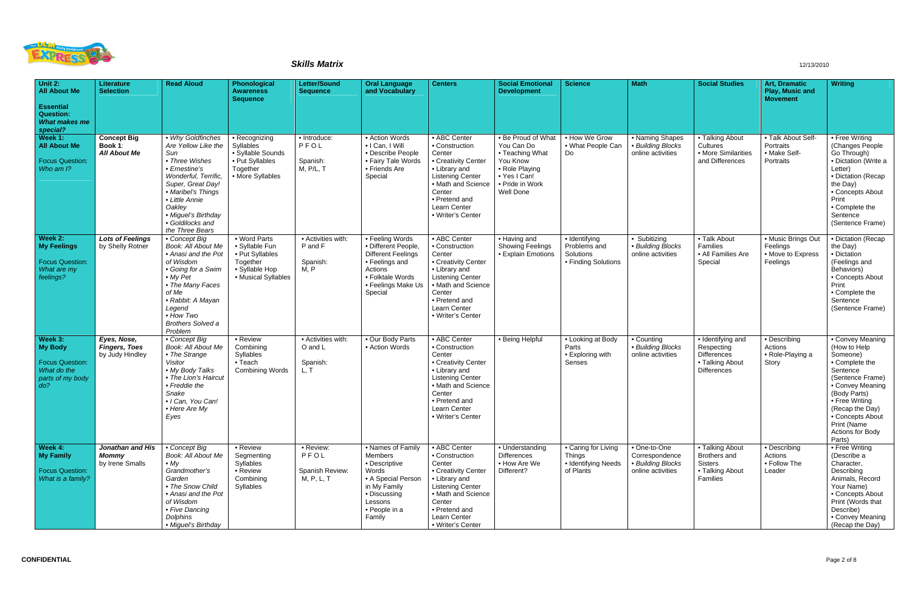

| Unit 2:<br><b>All About Me</b><br><b>Essential</b><br>Question:                        | Literature<br><b>Selection</b>                         | <b>Read Aloud</b>                                                                                                                                                                                                                               | Phonological<br><b>Awareness</b><br><b>Sequence</b>                                                    | <b>Letter/Sound</b><br><b>Sequence</b>             | <b>Oral Language</b><br>and Vocabulary                                                                                                                | <b>Centers</b>                                                                                                                                                                                    | <b>Social Emotional</b><br><b>Development</b>                                                                                     | <b>Science</b>                                                           | <b>Math</b>                                                              | <b>Social Studies</b>                                                                          | Art, Dramatic<br>Play, Music and<br><b>Movement</b>             | <b>Writing</b>                                                                                                                                                                                                                           |
|----------------------------------------------------------------------------------------|--------------------------------------------------------|-------------------------------------------------------------------------------------------------------------------------------------------------------------------------------------------------------------------------------------------------|--------------------------------------------------------------------------------------------------------|----------------------------------------------------|-------------------------------------------------------------------------------------------------------------------------------------------------------|---------------------------------------------------------------------------------------------------------------------------------------------------------------------------------------------------|-----------------------------------------------------------------------------------------------------------------------------------|--------------------------------------------------------------------------|--------------------------------------------------------------------------|------------------------------------------------------------------------------------------------|-----------------------------------------------------------------|------------------------------------------------------------------------------------------------------------------------------------------------------------------------------------------------------------------------------------------|
| What makes me<br>special?                                                              |                                                        |                                                                                                                                                                                                                                                 |                                                                                                        |                                                    |                                                                                                                                                       |                                                                                                                                                                                                   |                                                                                                                                   |                                                                          |                                                                          |                                                                                                |                                                                 |                                                                                                                                                                                                                                          |
| Week 1:<br><b>All About Me</b><br><b>Focus Question:</b><br>Who am I?                  | <b>Concept Big</b><br>Book 1:<br><b>All About Me</b>   | • Why Goldfinches<br>Are Yellow Like the<br>Sun<br>• Three Wishes<br>• Ernestine's<br>Wonderful, Terrific,<br>Super, Great Day!<br>• Maribel's Things<br>• Little Annie<br>Oakley<br>• Miguel's Birthday<br>• Goldilocks and<br>the Three Bears | • Recognizing<br>Syllables<br>• Syllable Sounds<br>• Put Syllables<br>Together<br>• More Syllables     | • Introduce:<br>PFOL<br>Spanish:<br>M, P/L, T      | • Action Words<br>· I Can, I Will<br>• Describe People<br>• Fairy Tale Words<br>• Friends Are<br>Special                                              | • ABC Center<br>• Construction<br>Center<br>• Creativity Center<br>• Library and<br><b>Listening Center</b><br>• Math and Science<br>Center<br>• Pretend and<br>Learn Center<br>· Writer's Center | • Be Proud of What<br>You Can Do<br>• Teaching What<br>You Know<br>• Role Playing<br>• Yes I Can!<br>• Pride in Work<br>Well Done | • How We Grow<br>• What People Can<br>Do                                 | • Naming Shapes<br>• Building Blocks<br>online activities                | • Talking About<br>Cultures<br>• More Similarities<br>and Differences                          | . Talk About Self<br>Portraits<br>• Make Self-<br>Portraits     | • Free Writing<br>(Changes People<br>Go Through)<br>· Dictation (Write a<br>Letter)<br>· Dictation (Recap<br>the Day)<br>• Concepts About<br>Print<br>• Complete the<br>Sentence<br>(Sentence Frame)                                     |
| Week 2:<br><b>My Feelings</b><br><b>Focus Question:</b><br>What are my<br>feelings?    | <b>Lots of Feelings</b><br>by Shelly Rotner            | • Concept Big<br><b>Book: All About Me</b><br>• Anasi and the Pot<br>of Wisdom<br>• Going for a Swim<br>• My Pet<br>• The Many Faces<br>of Me<br>• Rabbit: A Mayan<br>Legend<br>$\bullet$ How Two<br><b>Brothers Solved a</b><br>Problem        | • Word Parts<br>• Syllable Fun<br>• Put Syllables<br>Together<br>• Syllable Hop<br>• Musical Syllables | • Activities with:<br>P and F<br>Spanish:<br>M, P  | • Feeling Words<br>· Different People,<br><b>Different Feelings</b><br>• Feelings and<br>Actions<br>• Folktale Words<br>• Feelings Make Us<br>Special | • ABC Center<br>• Construction<br>Center<br>• Creativity Center<br>• Library and<br><b>Listening Center</b><br>• Math and Science<br>Center<br>• Pretend and<br>Learn Center<br>• Writer's Center | • Having and<br>Showing Feelings<br>• Explain Emotions                                                                            | · Identifying<br>Problems and<br>Solutions<br>• Finding Solutions        | • Subitizing<br>• Building Blocks<br>online activities                   | • Talk About<br>Families<br>• All Families Are<br>Special                                      | • Music Brings Out<br>Feelings<br>• Move to Express<br>Feelings | · Dictation (Recap<br>the Day)<br>· Dictation<br>(Feelings and<br>Behaviors)<br>• Concepts About<br>Print<br>• Complete the<br>Sentence<br>(Sentence Frame)                                                                              |
| Week 3:<br>My Body<br><b>Focus Question:</b><br>What do the<br>parts of my body<br>do? | Eyes, Nose,<br><b>Fingers, Toes</b><br>by Judy Hindley | • Concept Big<br>Book: All About Me<br>• The Strange<br>Visitor<br>• My Body Talks<br>• The Lion's Haircut<br>• Freddie the<br>Snake<br>· I Can, You Can!<br>• Here Are My<br>Eyes                                                              | • Review<br>Combining<br>Syllables<br>$\bullet$ Teach<br><b>Combining Words</b>                        | • Activities with:<br>O and L<br>Spanish:<br>L, T  | • Our Body Parts<br>• Action Words                                                                                                                    | • ABC Center<br>• Construction<br>Center<br>• Creativity Center<br>• Library and<br><b>Listening Center</b><br>• Math and Science<br>Center<br>• Pretend and<br>Learn Center<br>• Writer's Center | • Being Helpful                                                                                                                   | • Looking at Body<br>Parts<br>• Exploring with<br>Senses                 | • Counting<br>• Building Blocks<br>online activities                     | • Identifying and<br>Respecting<br><b>Differences</b><br>• Talking About<br><b>Differences</b> | • Describing<br>Actions<br>• Role-Playing a<br>Story            | • Convey Meaning<br>(How to Help<br>Someone)<br>• Complete the<br>Sentence<br>(Sentence Frame)<br>• Convey Meaning<br>(Body Parts)<br>• Free Writing<br>(Recap the Day)<br>• Concepts About<br>Print (Name<br>Actions for Body<br>Parts) |
| Week 4:<br>My Family<br><b>Focus Question:</b><br>What is a family?                    | Jonathan and His<br><b>Mommy</b><br>by Irene Smalls    | • Concept Big<br>Book: All About Me<br>$\bullet$ My<br>Grandmother's<br>Garden<br>• The Snow Child<br>• Anasi and the Pot<br>of Wisdom<br>• Five Dancing<br>Dolphins<br>• Miguel's Birthday                                                     | • Review<br>Segmenting<br>Syllables<br>• Review<br>Combining<br>Syllables                              | • Review:<br>PFOL<br>Spanish Review:<br>M, P, L, T | • Names of Family<br>Members<br>• Descriptive<br>Words<br>• A Special Person<br>in My Family<br>• Discussing<br>Lessons<br>• People in a<br>Family    | • ABC Center<br>• Construction<br>Center<br>• Creativity Center<br>• Library and<br><b>Listening Center</b><br>• Math and Science<br>Center<br>• Pretend and<br>Learn Center<br>• Writer's Center | • Understanding<br><b>Differences</b><br>• How Are We<br>Different?                                                               | • Caring for Living<br><b>Things</b><br>• Identifying Needs<br>of Plants | • One-to-One<br>Correspondence<br>• Building Blocks<br>online activities | • Talking About<br>Brothers and<br><b>Sisters</b><br>• Talking About<br>Families               | • Describing<br>Actions<br>• Follow The<br>Leader               | • Free Writing<br>(Describe a<br>Character,<br>Describing<br>Animals, Record<br>Your Name)<br>• Concepts About<br>Print (Words that<br>Describe)<br>• Convey Meaning<br>(Recap the Day)                                                  |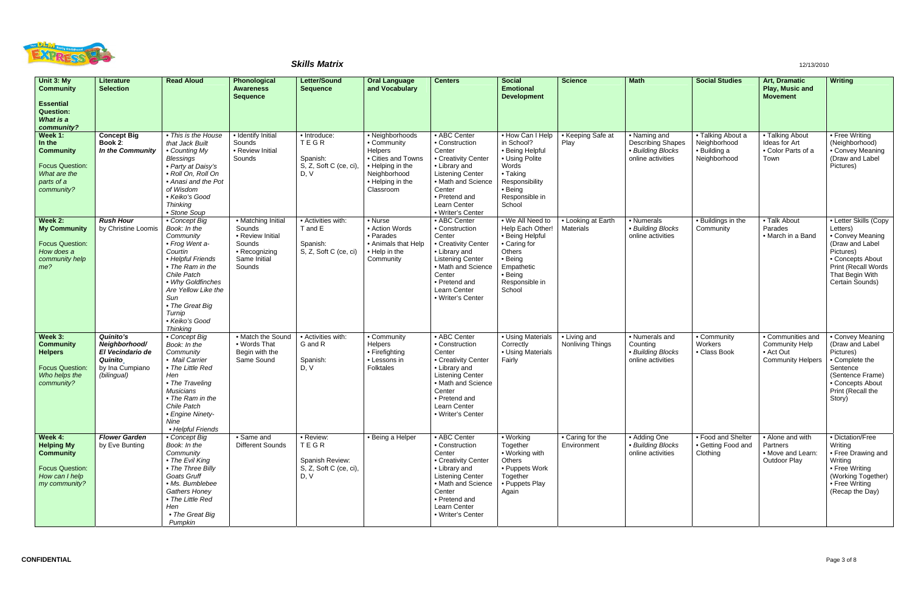

| Unit 3: My<br><b>Community</b>                                                                                | Literature<br><b>Selection</b>                                                                     | <b>Read Aloud</b>                                                                                                                                                                                                                                    | Phonological<br><b>Awareness</b>                                                                      | <b>Letter/Sound</b><br><b>Sequence</b>                                 | <b>Oral Language</b><br>and Vocabulary                                                                                                      | <b>Centers</b>                                                                                                                                                                                    | <b>Social</b><br><b>Emotional</b>                                                                                                                 | <b>Science</b>                   | <b>Math</b>                                                                        | <b>Social Studies</b>                                             | <b>Art, Dramatic</b><br>Play, Music and                                             | <b>Writing</b>                                                                                                                                                           |
|---------------------------------------------------------------------------------------------------------------|----------------------------------------------------------------------------------------------------|------------------------------------------------------------------------------------------------------------------------------------------------------------------------------------------------------------------------------------------------------|-------------------------------------------------------------------------------------------------------|------------------------------------------------------------------------|---------------------------------------------------------------------------------------------------------------------------------------------|---------------------------------------------------------------------------------------------------------------------------------------------------------------------------------------------------|---------------------------------------------------------------------------------------------------------------------------------------------------|----------------------------------|------------------------------------------------------------------------------------|-------------------------------------------------------------------|-------------------------------------------------------------------------------------|--------------------------------------------------------------------------------------------------------------------------------------------------------------------------|
| <b>Essential</b><br><b>Question:</b><br>What is a<br>community?                                               |                                                                                                    |                                                                                                                                                                                                                                                      | <b>Sequence</b>                                                                                       |                                                                        |                                                                                                                                             |                                                                                                                                                                                                   | <b>Development</b>                                                                                                                                |                                  |                                                                                    |                                                                   | <b>Movement</b>                                                                     |                                                                                                                                                                          |
| Week 1:<br>In the<br><b>Community</b><br><b>Focus Question:</b><br>What are the<br>parts of a<br>community?   | <b>Concept Big</b><br>Book 2:<br>In the Community                                                  | • This is the House<br>that Jack Built<br>• Counting My<br><b>Blessings</b><br>• Party at Daisy's<br>· Roll On, Roll On<br>• Anasi and the Pot<br>of Wisdom<br>• Keiko's Good<br><b>Thinking</b><br>• Stone Soup                                     | · Identify Initial<br>Sounds<br>• Review Initial<br>Sounds                                            | · Introduce:<br>TEGR<br>Spanish:<br>S, Z, Soft C (ce, ci)<br>D, V      | · Neighborhoods<br>• Community<br><b>Helpers</b><br>• Cities and Towns<br>• Helping in the<br>Neighborhood<br>• Helping in the<br>Classroom | • ABC Center<br>• Construction<br>Center<br>• Creativity Center<br>• Library and<br><b>Listening Center</b><br>• Math and Science<br>Center<br>• Pretend and<br>Learn Center<br>• Writer's Center | • How Can I Help<br>in School?<br>• Being Helpful<br>• Using Polite<br>Words<br>• Taking<br>Responsibility<br>• Being<br>Responsible in<br>School | • Keeping Safe at<br>Play        | • Naming and<br><b>Describing Shapes</b><br>• Building Blocks<br>online activities | • Talking About a<br>Neighborhood<br>· Building a<br>Neighborhood | • Talking About<br>Ideas for Art<br>• Color Parts of a<br>Town                      | • Free Writing<br>(Neighborhood)<br>• Convey Meaning<br>(Draw and Label<br>Pictures)                                                                                     |
| Week 2:<br><b>My Community</b><br><b>Focus Question:</b><br>How does a<br>community help<br>me?               | <b>Rush Hour</b><br>by Christine Loomis                                                            | • Concept Big<br>Book: In the<br>Community<br>• Frog Went a-<br>Courtin<br>• Helpful Friends<br>• The Ram in the<br>Chile Patch<br>• Why Goldfinches<br>Are Yellow Like the<br>Sun<br>• The Great Big<br>Turnip<br>• Keiko's Good<br><b>Thinking</b> | • Matching Initial<br>Sounds<br>• Review Initial<br>Sounds<br>• Recognizing<br>Same Initial<br>Sounds | • Activities with:<br>T and E<br>Spanish:<br>S, Z, Soft C (ce, ci)     | • Nurse<br>• Action Words<br>• Parades<br>• Animals that Help<br>• Help in the<br>Community                                                 | • ABC Center<br>• Construction<br>Center<br>• Creativity Center<br>• Library and<br><b>Listening Center</b><br>• Math and Science<br>Center<br>• Pretend and<br>Learn Center<br>• Writer's Center | • We All Need to<br>Help Each Other!<br>• Being Helpful<br>• Caring for<br>Others<br>• Being<br>Empathetic<br>• Being<br>Responsible in<br>School | • Looking at Earth<br>Materials  | • Numerals<br>• Building Blocks<br>online activities                               | • Buildings in the<br>Community                                   | • Talk About<br>Parades<br>• March in a Band                                        | • Letter Skills (Copy<br>Letters)<br>• Convey Meaning<br>(Draw and Label<br>Pictures)<br>• Concepts About<br>Print (Recall Words  <br>That Begin With<br>Certain Sounds) |
| Week 3:<br><b>Community</b><br><b>Helpers</b><br><b>Focus Question:</b><br>Who helps the<br>community?        | <b>Quinito's</b><br>Neighborhood/<br>El Vecindario de<br>Quinito<br>by Ina Cumpiano<br>(bilingual) | • Concept Big<br>Book: In the<br>Community<br>• Mail Carrier<br>• The Little Red<br>Hen<br>• The Traveling<br><b>Musicians</b><br>• The Ram in the<br>Chile Patch<br>• Engine Ninety-<br>Nine<br>• Helpful Friends                                   | • Match the Sound<br>• Words That<br>Begin with the<br>Same Sound                                     | • Activities with:<br>G and R<br>Spanish:<br>D, V                      | $\overline{\bullet}$ Community<br>Helpers<br>• Firefighting<br>• Lessons in<br>Folktales                                                    | • ABC Center<br>• Construction<br>Center<br>• Creativity Center<br>• Library and<br><b>Listening Center</b><br>• Math and Science<br>Center<br>• Pretend and<br>Learn Center<br>• Writer's Center | • Using Materials<br>Correctly<br>• Using Materials<br>Fairly                                                                                     | • Living and<br>Nonliving Things | • Numerals and<br>Counting<br>• Building Blocks<br>online activities               | • Community<br>Workers<br>• Class Book                            | • Communities and<br><b>Community Help</b><br>• Act Out<br><b>Community Helpers</b> | • Convey Meaning<br>(Draw and Label<br>Pictures)<br>• Complete the<br>Sentence<br>(Sentence Frame)<br>• Concepts About<br>Print (Recall the<br>Story)                    |
| Week 4:<br><b>Helping My</b><br><b>Community</b><br><b>Focus Question:</b><br>How can I help<br>my community? | <b>Flower Garden</b><br>by Eve Bunting                                                             | • Concept Big<br>Book: In the<br>Community<br>• The Evil King<br>• The Three Billy<br>Goats Gruff<br>· Ms. Bumblebee<br><b>Gathers Honey</b><br>• The Little Red<br>Hen<br>• The Great Big<br>Pumpkin                                                | • Same and<br>Different Sounds                                                                        | • Review:<br>TEGR<br>Spanish Review:<br>S, Z, Soft C (ce, ci),<br>D, V | • Being a Helper                                                                                                                            | • ABC Center<br>• Construction<br>Center<br>• Creativity Center<br>• Library and<br><b>Listening Center</b><br>• Math and Science<br>Center<br>• Pretend and<br>Learn Center<br>• Writer's Center | • Working<br>Together<br>• Working with<br>Others<br>• Puppets Work<br>Together<br>• Puppets Play<br>Again                                        | • Caring for the<br>Environment  | • Adding One<br>• Building Blocks<br>online activities                             | • Food and Shelter<br>• Getting Food and<br>Clothing              | • Alone and with<br>Partners<br>• Move and Learn:<br><b>Outdoor Play</b>            | • Dictation/Free<br>Writing<br>• Free Drawing and<br>Writing<br>• Free Writing<br>(Working Together)<br>• Free Writing<br>(Recap the Day)                                |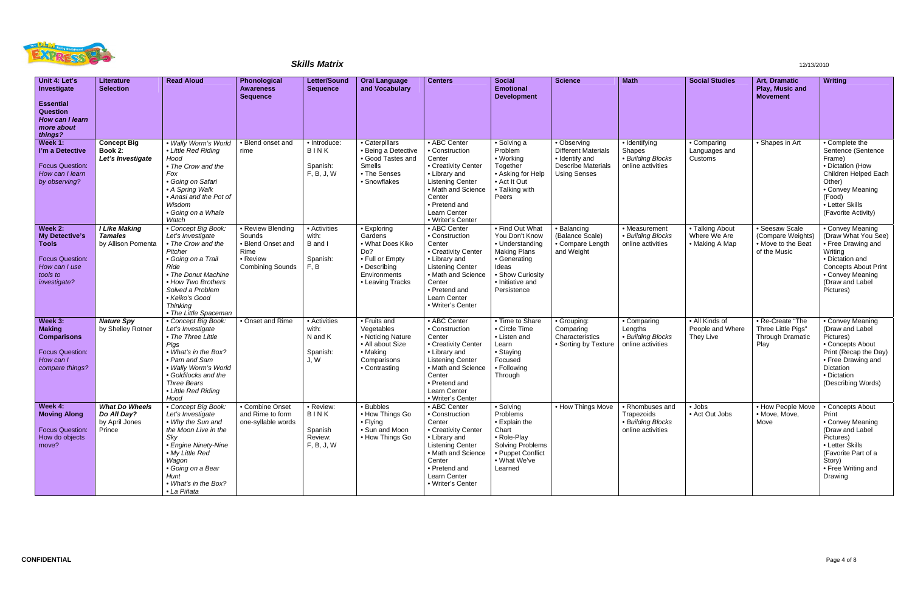

| Unit 4: Let's<br>Investigate                                                                                                   | <b>Literature</b><br><b>Selection</b>                            | <b>Read Aloud</b>                                                                                                                                                                                                                      | Phonological<br><b>Awareness</b><br><b>Sequence</b>                                             | <b>Letter/Sound</b><br><b>Sequence</b>                | <b>Oral Language</b><br>and Vocabulary                                                                                   | <b>Centers</b>                                                                                                                                                                                    | <b>Social</b><br><b>Emotional</b><br><b>Development</b>                                                                                                     | <b>Science</b>                                                                                                  | <b>Math</b>                                                             | <b>Social Studies</b>                             | Art, Dramatic<br>Play, Music and<br><b>Movement</b>                       | <b>Writing</b>                                                                                                                                                                 |
|--------------------------------------------------------------------------------------------------------------------------------|------------------------------------------------------------------|----------------------------------------------------------------------------------------------------------------------------------------------------------------------------------------------------------------------------------------|-------------------------------------------------------------------------------------------------|-------------------------------------------------------|--------------------------------------------------------------------------------------------------------------------------|---------------------------------------------------------------------------------------------------------------------------------------------------------------------------------------------------|-------------------------------------------------------------------------------------------------------------------------------------------------------------|-----------------------------------------------------------------------------------------------------------------|-------------------------------------------------------------------------|---------------------------------------------------|---------------------------------------------------------------------------|--------------------------------------------------------------------------------------------------------------------------------------------------------------------------------|
| <b>Essential</b><br><b>Question</b><br>How can I learn<br>more about<br>things?                                                |                                                                  |                                                                                                                                                                                                                                        |                                                                                                 |                                                       |                                                                                                                          |                                                                                                                                                                                                   |                                                                                                                                                             |                                                                                                                 |                                                                         |                                                   |                                                                           |                                                                                                                                                                                |
| Week 1:<br>l'm a Detective<br><b>Focus Question:</b><br>How can I learn<br>by observing?                                       | <b>Concept Big</b><br>Book 2:<br>Let's Investigate               | . Wally Worm's World<br>• Little Red Riding<br>Hood<br>• The Crow and the<br>Fox<br>· Going on Safari<br>• A Spring Walk<br>• Anasi and the Pot of<br>Wisdom<br>• Going on a Whale<br>Watch                                            | • Blend onset and<br>rime                                                                       | · Introduce:<br>BINK<br>Spanish:<br>F, B, J, W        | • Caterpillars<br>• Being a Detective<br>• Good Tastes and<br>Smells<br>• The Senses<br>• Snowflakes                     | • ABC Center<br>• Construction<br>Center<br>• Creativity Center<br>• Library and<br><b>Listening Center</b><br>• Math and Science<br>Center<br>• Pretend and<br>Learn Center<br>• Writer's Center | • Solving a<br>Problem<br>• Working<br>Together<br>• Asking for Help<br>• Act It Out<br>• Talking with<br>Peers                                             | • Observing<br><b>Different Materials</b><br>· Identify and<br><b>Describe Materials</b><br><b>Using Senses</b> | • Identifying<br>Shapes<br>• Building Blocks<br>online activities       | • Comparing<br>Languages and<br>Customs           | • Shapes in Art                                                           | • Complete the<br>Sentence (Sentence<br>Frame)<br>• Dictation (How<br>Children Helped Each<br>Other)<br>• Convey Meaning<br>(Food)<br>• Letter Skills<br>(Favorite Activity)   |
| Week 2:<br><b>My Detective's</b><br><b>Tools</b><br><b>Focus Question:</b><br>How can I use<br>tools to<br><i>investigate?</i> | <b>I Like Making</b><br><b>Tamales</b><br>by Allison Pomenta     | • Concept Big Book:<br>Let's Investigate<br>• The Crow and the<br>Pitcher<br>• Going on a Trail<br>Ride<br>• The Donut Machine<br>• How Two Brothers<br>Solved a Problem<br>· Keiko's Good<br><b>Thinking</b><br>• The Little Spaceman | • Review Blending<br>Sounds<br>• Blend Onset and<br>Rime<br>• Review<br><b>Combining Sounds</b> | • Activities<br>with:<br>B and I<br>Spanish:<br>F, B  | • Exploring<br>Gardens<br>• What Does Kiko<br>Do?<br>• Full or Empty<br>• Describing<br>Environments<br>• Leaving Tracks | • ABC Center<br>• Construction<br>Center<br>• Creativity Center<br>• Library and<br><b>Listening Center</b><br>• Math and Science<br>Center<br>• Pretend and<br>Learn Center<br>• Writer's Center | • Find Out What<br>You Don't Know<br>• Understanding<br><b>Making Plans</b><br>• Generating<br>Ideas<br>• Show Curiosity<br>• Initiative and<br>Persistence | • Balancing<br>(Balance Scale)<br>• Compare Length<br>and Weight                                                | • Measurement<br>• Building Blocks<br>online activities                 | • Talking About<br>Where We Are<br>• Making A Map | · Seesaw Scale<br>(Compare Weights)<br>• Move to the Beat<br>of the Music | • Convey Meaning<br>(Draw What You See)<br>• Free Drawing and<br>Writing<br>• Dictation and<br><b>Concepts About Print</b><br>• Convey Meaning<br>(Draw and Label<br>Pictures) |
| Week 3:<br><b>Making</b><br><b>Comparisons</b><br><b>Focus Question:</b><br>How can I<br>compare things?                       | <b>Nature Spy</b><br>by Shelley Rotner                           | • Concept Big Book:<br>Let's Investigate<br>• The Three Little<br>Pigs<br>• What's in the Box?<br>• Pam and Sam<br>• Wally Worm's World<br>• Goldilocks and the<br>Three Bears<br>• Little Red Riding<br>Hood                          | • Onset and Rime                                                                                | • Activities<br>with:<br>N and K<br>Spanish:<br>J, W  | • Fruits and<br>Vegetables<br>• Noticing Nature<br>• All about Size<br>• Making<br>Comparisons<br>• Contrasting          | • ABC Center<br>• Construction<br>Center<br>• Creativity Center<br>• Library and<br>Listening Center<br>• Math and Science<br>Center<br>• Pretend and<br>Learn Center<br>• Writer's Center        | • Time to Share<br>• Circle Time<br>• Listen and<br>Learn<br>• Staying<br>Focused<br>• Following<br>Through                                                 | · Grouping:<br>Comparing<br>Characteristics<br>• Sorting by Texture                                             | • Comparing<br>Lengths<br>• Building Blocks<br>online activities        | • All Kinds of<br>People and Where<br>They Live   | • Re-Create "The<br>Three Little Pigs"<br>Through Dramatic<br>Play        | • Convey Meaning<br>(Draw and Label<br>Pictures)<br>• Concepts About<br>Print (Recap the Day)<br>• Free Drawing and<br>Dictation<br>• Dictation<br>(Describing Words)          |
| Week 4:<br><b>Moving Along</b><br><b>Focus Question:</b><br>How do objects<br>move?                                            | <b>What Do Wheels</b><br>Do All Day?<br>by April Jones<br>Prince | • Concept Big Book:<br>Let's Investigate<br>• Why the Sun and<br>the Moon Live in the<br>Sky<br>• Engine Ninety-Nine<br>• My Little Red<br>Wagon<br>• Going on a Bear<br>Hunt<br>• What's in the Box?<br>• La Piñata                   | • Combine Onset<br>and Rime to form<br>one-syllable words                                       | • Review:<br>BINK<br>Spanish<br>Review:<br>F, B, J, W | • Bubbles<br>• How Things Go<br>$\bullet$ Flying<br>• Sun and Moon<br>• How Things Go                                    | • ABC Center<br>• Construction<br>Center<br>• Creativity Center<br>• Library and<br><b>Listening Center</b><br>• Math and Science<br>Center<br>• Pretend and<br>Learn Center<br>• Writer's Center | • Solving<br>Problems<br>• Explain the<br>Chart<br>• Role-Play<br><b>Solving Problems</b><br>• Puppet Conflict<br>• What We've<br>Learned                   | • How Things Move                                                                                               | • Rhombuses and<br>Trapezoids<br>• Building Blocks<br>online activities | • Jobs<br>• Act Out Jobs                          | • How People Move   • Concepts About<br>· Move, Move,<br>Move             | Print<br>• Convey Meaning<br>(Draw and Label<br>Pictures)<br>• Letter Skills<br>(Favorite Part of a<br>Story)<br>• Free Writing and<br>Drawing                                 |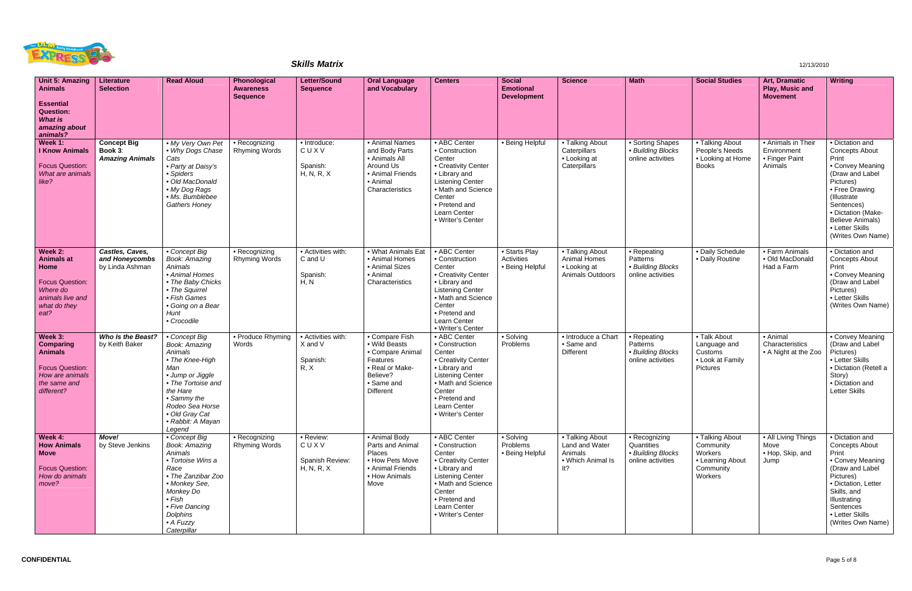

| Unit 5: Amazing<br><b>Animals</b><br><b>Essential</b><br><b>Question:</b><br><b>What is</b><br>amazing about<br>animals? | Literature<br><b>Selection</b>                          | <b>Read Aloud</b>                                                                                                                                                                                                            | Phonological<br><b>Awareness</b><br><b>Sequence</b> | <b>Letter/Sound</b><br><b>Sequence</b>             | <b>Oral Language</b><br>and Vocabulary                                                                                           | <b>Centers</b>                                                                                                                                                                                    | Social<br><b>Emotional</b><br><b>Development</b> | <b>Science</b>                                                             | <b>Math</b>                                                           | <b>Social Studies</b>                                                               | Art, Dramatic<br>Play, Music and<br><b>Movement</b>            | <b>Writing</b>                                                                                                                                                                                                                                |
|--------------------------------------------------------------------------------------------------------------------------|---------------------------------------------------------|------------------------------------------------------------------------------------------------------------------------------------------------------------------------------------------------------------------------------|-----------------------------------------------------|----------------------------------------------------|----------------------------------------------------------------------------------------------------------------------------------|---------------------------------------------------------------------------------------------------------------------------------------------------------------------------------------------------|--------------------------------------------------|----------------------------------------------------------------------------|-----------------------------------------------------------------------|-------------------------------------------------------------------------------------|----------------------------------------------------------------|-----------------------------------------------------------------------------------------------------------------------------------------------------------------------------------------------------------------------------------------------|
| Week 1:<br><b>I Know Animals</b><br><b>Focus Question:</b><br>What are animals<br>like?                                  | <b>Concept Big</b><br>Book 3:<br><b>Amazing Animals</b> | . My Very Own Pet<br>• Why Dogs Chase<br>Cats<br>• Party at Daisy's<br>• Spiders<br>· Old MacDonald<br>• My Dog Rags<br>· Ms. Bumblebee<br><b>Gathers Honey</b>                                                              | • Recognizing<br>Rhyming Words                      | · Introduce:<br>CUXV<br>Spanish:<br>H, N, R, X     | • Animal Names<br>and Body Parts<br>• Animals All<br>Around Us<br>• Animal Friends<br>• Animal<br>Characteristics                | • ABC Center<br>• Construction<br>Center<br>• Creativity Center<br>• Library and<br><b>Listening Center</b><br>• Math and Science<br>Center<br>• Pretend and<br>Learn Center<br>• Writer's Center | • Being Helpful                                  | • Talking About<br>Caterpillars<br>• Looking at<br>Caterpillars            | • Sorting Shapes<br>• Building Blocks<br>online activities            | • Talking About<br>People's Needs<br>• Looking at Home<br><b>Books</b>              | • Animals in Their<br>Environment<br>• Finger Paint<br>Animals | · Dictation and<br><b>Concepts About</b><br>Print<br>• Convey Meaning<br>(Draw and Label<br>Pictures)<br>• Free Drawing<br>(Illustrate<br>Sentences)<br>• Dictation (Make-<br><b>Believe Animals)</b><br>• Letter Skills<br>(Writes Own Name) |
| Week 2:<br><b>Animals at</b><br>Home<br><b>Focus Question:</b><br>Where do<br>animals live and<br>what do they<br>eat?   | Castles, Caves,<br>and Honeycombs<br>by Linda Ashman    | • Concept Big<br><b>Book: Amazing</b><br>Animals<br>• Animal Homes<br>• The Baby Chicks<br>• The Squirrel<br>• Fish Games<br>• Going on a Bear<br>Hunt<br>• Crocodile                                                        | • Recognizing<br><b>Rhyming Words</b>               | • Activities with:<br>C and U<br>Spanish:<br>H, N  | • What Animals Eat<br>• Animal Homes<br>• Animal Sizes<br>• Animal<br>Characteristics                                            | • ABC Center<br>• Construction<br>Center<br>• Creativity Center<br>• Library and<br><b>Listening Center</b><br>• Math and Science<br>Center<br>• Pretend and<br>Learn Center<br>• Writer's Center | · Starts Play<br>Activities<br>• Being Helpful   | • Talking About<br><b>Animal Homes</b><br>• Looking at<br>Animals Outdoors | • Repeating<br>Patterns<br>• Building Blocks<br>online activities     | • Daily Schedule<br>• Daily Routine                                                 | • Farm Animals<br>· Old MacDonald<br>Had a Farm                | • Dictation and<br><b>Concepts About</b><br>Print<br>• Convey Meaning<br>(Draw and Label<br>Pictures)<br>• Letter Skills<br>(Writes Own Name)                                                                                                 |
| Week 3:<br><b>Comparing</b><br><b>Animals</b><br><b>Focus Question:</b><br>How are animals<br>the same and<br>different? | Who Is the Beast?<br>by Keith Baker                     | • Concept Big<br><b>Book: Amazing</b><br>Animals<br>• The Knee-High<br>Man<br>• Jump or Jiggle<br>• The Tortoise and<br>the Hare<br>• Sammy the<br>Rodeo Sea Horse<br>· Old Gray Cat<br>• Rabbit: A Mayan<br>Legend          | • Produce Rhyming<br>Words                          | • Activities with:<br>X and V<br>Spanish:<br>R, X  | • Compare Fish<br>• Wild Beasts<br>• Compare Animal<br>Features<br>• Real or Make-<br>Believe?<br>• Same and<br><b>Different</b> | • ABC Center<br>• Construction<br>Center<br>• Creativity Center<br>• Library and<br><b>Listening Center</b><br>• Math and Science<br>Center<br>• Pretend and<br>Learn Center<br>• Writer's Center | • Solving<br>Problems                            | • Introduce a Chart<br>• Same and<br>Different                             | • Repeating<br>Patterns<br>· Building Blocks<br>online activities     | • Talk About<br>Language and<br>Customs<br>• Look at Family<br>Pictures             | • Animal<br>Characteristics<br>• A Night at the Zoo            | • Convey Meaning<br>(Draw and Label<br>Pictures)<br>• Letter Skills<br>· Dictation (Retell a<br>Story)<br>· Dictation and<br><b>Letter Skills</b>                                                                                             |
| Week 4:<br><b>How Animals</b><br><b>Move</b><br><b>Focus Question:</b><br>How do animals<br>move?                        | Move!<br>by Steve Jenkins                               | • Concept Big<br><b>Book: Amazing</b><br>Animals<br>• Tortoise Wins a<br>Race<br>• The Zanzibar Zoo<br>• Monkey See,<br>Monkey Do<br>$\bullet$ Fish<br>• Five Dancing<br><b>Dolphins</b><br>$\bullet$ A Fuzzy<br>Caterpillar | • Recognizing<br><b>Rhyming Words</b>               | • Review:<br>CUXV<br>Spanish Review:<br>H, N, R, X | • Animal Body<br>Parts and Animal<br>Places<br>• How Pets Move<br>• Animal Friends<br>• How Animals<br>Move                      | • ABC Center<br>• Construction<br>Center<br>• Creativity Center<br>• Library and<br><b>Listening Center</b><br>• Math and Science<br>Center<br>• Pretend and<br>Learn Center<br>• Writer's Center | • Solving<br>Problems<br>• Being Helpful         | • Talking About<br>Land and Water<br>Animals<br>• Which Animal Is<br>lt?   | • Recognizing<br>Quantities<br>· Building Blocks<br>online activities | • Talking About<br>Community<br>Workers<br>• Learning About<br>Community<br>Workers | • All Living Things<br>Move<br>• Hop, Skip, and<br>Jump        | • Dictation and<br><b>Concepts About</b><br>Print<br>• Convey Meaning<br>(Draw and Label<br>Pictures)<br>· Dictation, Letter<br>Skills, and<br>Illustrating<br>Sentences<br>• Letter Skills<br>(Writes Own Name)                              |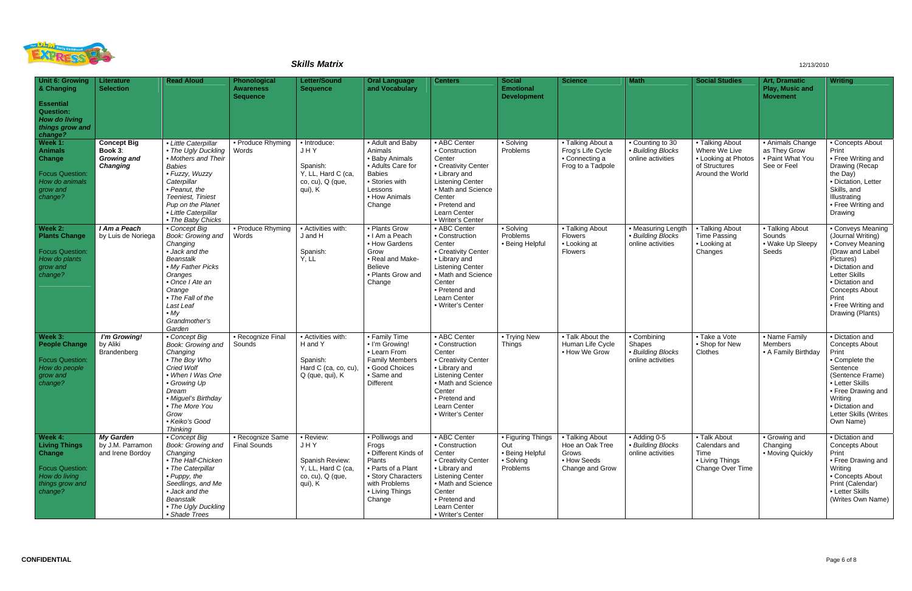

| Unit 6: Growing<br>& Changing<br><b>Essential</b><br><b>Question:</b><br><b>How do living</b><br>things grow and<br>change? | Literature<br><b>Selection</b>                                         | <b>Read Aloud</b>                                                                                                                                                                                                              | Phonological<br><b>Awareness</b><br><b>Sequence</b> | <b>Letter/Sound</b><br><b>Sequence</b>                                                   | <b>Oral Language</b><br>and Vocabulary                                                                                                               | <b>Centers</b>                                                                                                                                                                                    | <b>Social</b><br><b>Emotional</b><br><b>Development</b>              | <b>Science</b>                                                                | <b>Math</b>                                                     | <b>Social Studies</b>                                                                        | Art, Dramatic<br>Play, Music and<br><b>Movement</b>                 | <b>Writing</b>                                                                                                                                                                                                                |
|-----------------------------------------------------------------------------------------------------------------------------|------------------------------------------------------------------------|--------------------------------------------------------------------------------------------------------------------------------------------------------------------------------------------------------------------------------|-----------------------------------------------------|------------------------------------------------------------------------------------------|------------------------------------------------------------------------------------------------------------------------------------------------------|---------------------------------------------------------------------------------------------------------------------------------------------------------------------------------------------------|----------------------------------------------------------------------|-------------------------------------------------------------------------------|-----------------------------------------------------------------|----------------------------------------------------------------------------------------------|---------------------------------------------------------------------|-------------------------------------------------------------------------------------------------------------------------------------------------------------------------------------------------------------------------------|
| Week 1:<br><b>Animals</b><br>Change<br><b>Focus Question:</b><br>How do animals<br>grow and<br>change?                      | <b>Concept Big</b><br>Book 3:<br><b>Growing and</b><br><b>Changing</b> | • Little Caterpillar<br>• The Ugly Duckling<br>• Mothers and Their<br><b>Babies</b><br>· Fuzzy, Wuzzy<br>Caterpillar<br>• Peanut, the<br>Teeniest, Tiniest<br>Pup on the Planet<br>• Little Caterpillar<br>• The Baby Chicks   | • Produce Rhyming<br>Words                          | • Introduce:<br>JHY<br>Spanish:<br>Y, LL, Hard C (ca,<br>co, cu), Q (que,<br>qui), K     | • Adult and Baby<br>Animals<br>• Baby Animals<br>• Adults Care for<br><b>Babies</b><br>• Stories with<br>Lessons<br>• How Animals<br>Change          | • ABC Center<br>• Construction<br>Center<br>• Creativity Center<br>• Library and<br><b>Listening Center</b><br>• Math and Science<br>Center<br>• Pretend and<br>Learn Center<br>• Writer's Center | • Solving<br>Problems                                                | • Talking About a<br>Frog's Life Cycle<br>• Connecting a<br>Frog to a Tadpole | • Counting to 30<br>• Building Blocks<br>online activities      | • Talking About<br>Where We Live<br>• Looking at Photos<br>of Structures<br>Around the World | • Animals Change<br>as They Grow<br>• Paint What You<br>See or Feel | • Concepts About<br>Print<br>• Free Writing and<br>Drawing (Recap<br>the Day)<br>· Dictation, Letter<br>Skills, and<br>Illustrating<br>• Free Writing and<br>Drawing                                                          |
| Week 2:<br><b>Plants Change</b><br><b>Focus Question:</b><br>How do plants<br>grow and<br>change?                           | I Am a Peach<br>by Luis de Noriega                                     | • Concept Big<br>Book: Growing and<br>Changing<br>• Jack and the<br><b>Beanstalk</b><br>• My Father Picks<br>Oranges<br>• Once I Ate an<br>Orange<br>• The Fall of the<br>Last Leaf<br>$\bullet$ My<br>Grandmother's<br>Garden | • Produce Rhyming<br>Words                          | • Activities with:<br>J and H<br>Spanish:<br>Y, LL                                       | • Plants Grow<br>• I Am a Peach<br>• How Gardens<br>Grow<br>• Real and Make-<br><b>Believe</b><br>• Plants Grow and<br>Change                        | • ABC Center<br>• Construction<br>Center<br>• Creativity Center<br>• Library and<br><b>Listening Center</b><br>• Math and Science<br>Center<br>• Pretend and<br>Learn Center<br>• Writer's Center | • Solving<br>Problems<br>• Being Helpful                             | • Talking About<br><b>Flowers</b><br>• Looking at<br>Flowers                  | • Measuring Length<br>• Building Blocks<br>online activities    | • Talking About<br><b>Time Passing</b><br>• Looking at<br>Changes                            | • Talking About<br>Sounds<br>• Wake Up Sleepy<br>Seeds              | • Conveys Meaning<br>(Journal Writing)<br>• Convey Meaning<br>(Draw and Label<br>Pictures)<br>· Dictation and<br>Letter Skills<br>• Dictation and<br><b>Concepts About</b><br>Print<br>• Free Writing and<br>Drawing (Plants) |
| Week 3:<br><b>People Change</b><br><b>Focus Question:</b><br>How do people<br>grow and<br>change?                           | I'm Growing!<br>by Aliki<br>Brandenberg                                | • Concept Big<br>Book: Growing and<br>Changing<br>• The Boy Who<br>Cried Wolf<br>• When I Was One<br>• Growing Up<br>Dream<br>• Miguel's Birthday<br>• The More You<br>Grow<br>• Keiko's Good<br><b>Thinking</b>               | • Recognize Final<br>Sounds                         | • Activities with:<br>H and Y<br>Spanish:<br>Hard C (ca, co, cu),<br>Q (que, qui), K     | • Family Time<br>. I'm Growing!<br>• Learn From<br><b>Family Members</b><br>• Good Choices<br>• Same and<br>Different                                | • ABC Center<br>• Construction<br>Center<br>• Creativity Center<br>• Library and<br><b>Listening Center</b><br>• Math and Science<br>Center<br>• Pretend and<br>Learn Center<br>· Writer's Center | • Trying New<br>Things                                               | • Talk About the<br>Human Life Cycle<br>• How We Grow                         | • Combining<br>Shapes<br>• Building Blocks<br>online activities | $\overline{\bullet}$ Take a Vote<br>• Shop for New<br>Clothes                                | • Name Family<br>Members<br>• A Family Birthday                     | • Dictation and<br><b>Concepts About</b><br>Print<br>• Complete the<br>Sentence<br>(Sentence Frame)<br>• Letter Skills<br>• Free Drawing and<br>Writing<br>• Dictation and<br>Letter Skills (Writes<br>Own Name)              |
| Week 4:<br><b>Living Things</b><br>Change<br><b>Focus Question:</b><br>How do living<br>things grow and<br>change?          | <b>My Garden</b><br>by J.M. Parramon<br>and Irene Bordoy               | $\overline{\bullet}$ Concept Big<br>Book: Growing and<br>Changing<br>• The Half-Chicken<br>• The Caterpillar<br>• Puppy, the<br>Seedlings, and Me<br>• Jack and the<br>Beanstalk<br>• The Ugly Duckling<br>• Shade Trees       | • Recognize Same<br>Final Sounds                    | • Review:<br>JHY<br>Spanish Review:<br>Y, LL, Hard C (ca,<br>co, cu), Q (que,<br>qui), K | • Polliwogs and<br>Frogs<br>• Different Kinds of<br>Plants<br>• Parts of a Plant<br>• Story Characters<br>with Problems<br>• Living Things<br>Change | • ABC Center<br>• Construction<br>Center<br>• Creativity Center<br>• Library and<br><b>Listening Center</b><br>• Math and Science<br>Center<br>• Pretend and<br>Learn Center<br>• Writer's Center | • Figuring Things<br>Out<br>• Being Helpful<br>• Solving<br>Problems | • Talking About<br>Hoe an Oak Tree<br>Grows<br>• How Seeds<br>Change and Grow | • Adding 0-5<br>• Building Blocks<br>online activities          | • Talk About<br>Calendars and<br>Time<br>• Living Things<br>Change Over Time                 | • Growing and<br>Changing<br>• Moving Quickly                       | • Dictation and<br>Concepts About<br>Print<br>• Free Drawing and<br>Writing<br>• Concepts About<br>Print (Calendar)<br>• Letter Skills<br>(Writes Own Name)                                                                   |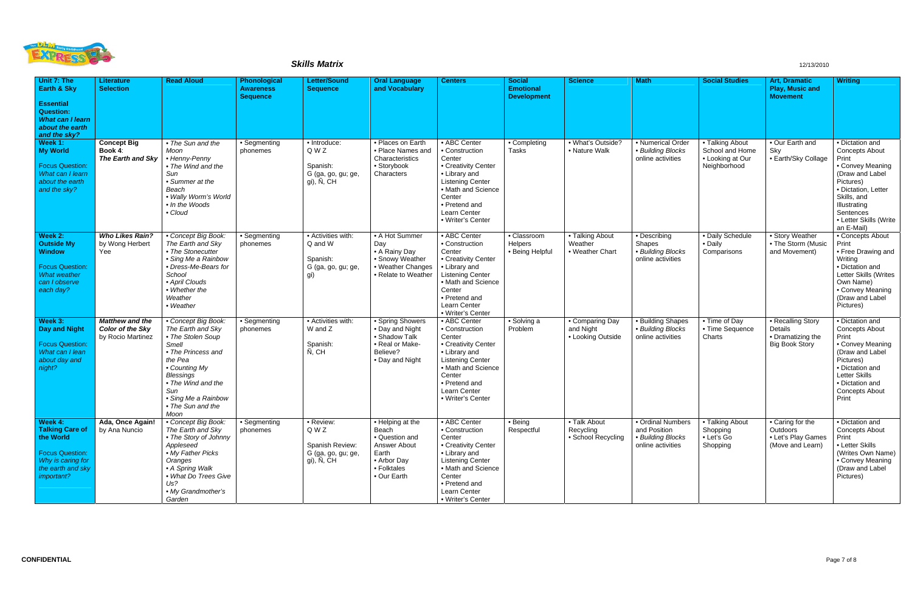

| Unit 7: The<br><b>Earth &amp; Sky</b><br><b>Essential</b><br><b>Question:</b><br><b>What can I learn</b><br>about the earth<br>and the sky? | <b>Literature</b><br><b>Selection</b>                                  | <b>Read Aloud</b>                                                                                                                                                                                                             | Phonological<br><b>Awareness</b><br><b>Sequence</b> | <b>Letter/Sound</b><br><b>Sequence</b>                                    | <b>Oral Language</b><br>and Vocabulary                                                                            | <b>Centers</b>                                                                                                                                                                                    | <b>Social</b><br><b>Emotional</b><br><b>Development</b> | <b>Science</b>                                    | <b>Math</b>                                                                 | <b>Social Studies</b>                                                  | <b>Art, Dramatic</b><br><b>Play, Music and</b><br><b>Movement</b>          | <b>Writing</b>                                                                                                                                                                                                   |
|---------------------------------------------------------------------------------------------------------------------------------------------|------------------------------------------------------------------------|-------------------------------------------------------------------------------------------------------------------------------------------------------------------------------------------------------------------------------|-----------------------------------------------------|---------------------------------------------------------------------------|-------------------------------------------------------------------------------------------------------------------|---------------------------------------------------------------------------------------------------------------------------------------------------------------------------------------------------|---------------------------------------------------------|---------------------------------------------------|-----------------------------------------------------------------------------|------------------------------------------------------------------------|----------------------------------------------------------------------------|------------------------------------------------------------------------------------------------------------------------------------------------------------------------------------------------------------------|
| Week 1:<br><b>My World</b><br><b>Focus Question:</b><br>What can I learn<br>about the earth<br>and the sky?                                 | <b>Concept Big</b><br>Book 4:<br>The Earth and Sky                     | • The Sun and the<br>Moon<br>• Henny-Penny<br>• The Wind and the<br>Sun<br>• Summer at the<br>Beach<br>• Wally Worm's World<br>• In the Woods<br>• Cloud                                                                      | • Segmenting<br>phonemes                            | · Introduce:<br>Q W Z<br>Spanish:<br>G (ga, go, gu; ge,<br>gi), Ñ, CH     | • Places on Earth<br>• Place Names and<br>Characteristics<br>• Storybook<br>Characters                            | • ABC Center<br>• Construction<br>Center<br>• Creativity Center<br>• Library and<br><b>Listening Center</b><br>• Math and Science<br>Center<br>• Pretend and<br>Learn Center<br>• Writer's Center | • Completing<br><b>Tasks</b>                            | · What's Outside?<br>• Nature Walk                | • Numerical Order<br>• Building Blocks<br>online activities                 | • Talking About<br>School and Home<br>• Looking at Our<br>Neighborhood | • Our Earth and<br>Sky<br>• Earth/Sky Collage                              | · Dictation and<br><b>Concepts About</b><br>Print<br>• Convey Meaning<br>(Draw and Label<br>Pictures)<br>· Dictation, Letter<br>Skills, and<br>Illustrating<br>Sentences<br>• Letter Skills (Write<br>an E-Mail) |
| Week 2:<br><b>Outside My</b><br><b>Window</b><br><b>Focus Question:</b><br><b>What weather</b><br>can I observe<br>each day?                | <b>Who Likes Rain?</b><br>by Wong Herbert<br>Yee                       | • Concept Big Book:<br>The Earth and Sky<br>• The Stonecutter<br>· Sing Me a Rainbow<br>• Dress-Me-Bears for<br>School<br>• April Clouds<br>• Whether the<br>Weather<br>• Weather                                             | • Segmenting<br>phonemes                            | • Activities with:<br>Q and W<br>Spanish:<br>G (ga, go, gu; ge,<br>gi)    | • A Hot Summer<br>Day<br>• A Rainy Day<br>• Snowy Weather<br>• Weather Changes<br>• Relate to Weather             | • ABC Center<br>• Construction<br>Center<br>• Creativity Center<br>• Library and<br>Listening Center<br>• Math and Science<br>Center<br>• Pretend and<br>Learn Center<br>• Writer's Center        | • Classroom<br>Helpers<br>• Being Helpful               | • Talking About<br>Weather<br>• Weather Chart     | • Describing<br>Shapes<br>• Building Blocks<br>online activities            | • Daily Schedule<br>• Daily<br>Comparisons                             | • Story Weather<br>• The Storm (Music<br>and Movement)                     | • Concepts About<br>Print<br>• Free Drawing and<br>Writing<br>· Dictation and<br>Letter Skills (Writes<br>Own Name)<br>• Convey Meaning<br>(Draw and Label<br>Pictures)                                          |
| Week 3:<br><b>Day and Night</b><br><b>Focus Question:</b><br>What can I lean<br>about day and<br>night?                                     | <b>Matthew and the</b><br><b>Color of the Sky</b><br>by Rocio Martinez | • Concept Big Book:<br>The Earth and Sky<br>• The Stolen Soup<br>Smell<br>• The Princess and<br>the Pea<br>• Counting My<br><b>Blessings</b><br>• The Wind and the<br>Sun<br>• Sing Me a Rainbow<br>• The Sun and the<br>Moon | • Segmenting<br>phonemes                            | • Activities with:<br>W and Z<br>Spanish:<br>Ñ, CH                        | • Spring Showers<br>• Day and Night<br>• Shadow Talk<br>• Real or Make-<br>Believe?<br>• Day and Night            | • ABC Center<br>• Construction<br>Center<br>• Creativity Center<br>• Library and<br>Listening Center<br>• Math and Science<br>Center<br>• Pretend and<br>Learn Center<br>• Writer's Center        | • Solving a<br>Problem                                  | • Comparing Day<br>and Night<br>• Looking Outside | • Building Shapes<br>• Building Blocks<br>online activities                 | • Time of Day<br>• Time Sequence<br>Charts                             | • Recalling Story<br>Details<br>• Dramatizing the<br><b>Big Book Story</b> | · Dictation and<br><b>Concepts About</b><br>Print<br>• Convey Meaning<br>(Draw and Label<br>Pictures)<br>· Dictation and<br><b>Letter Skills</b><br>· Dictation and<br><b>Concepts About</b><br>Print            |
| Week 4:<br><b>Talking Care of</b><br>the World<br><b>Focus Question:</b><br>Why is caring for<br>the earth and sky<br>important?            | Ada, Once Again!<br>by Ana Nuncio                                      | • Concept Big Book:<br>The Earth and Sky<br>• The Story of Johnny<br>Appleseed<br>• My Father Picks<br>Oranges<br>• A Spring Walk<br>• What Do Trees Give<br>Us?<br>• My Grandmother's<br>Garden                              | • Segmenting<br>phonemes                            | · Review:<br>Q W Z<br>Spanish Review:<br>G (ga, go, gu; ge,<br>gi), Ñ, CH | • Helping at the<br>Beach<br>· Question and<br>Answer About<br>Earth<br>• Arbor Day<br>• Folktales<br>• Our Earth | • ABC Center<br>• Construction<br>Center<br>• Creativity Center<br>• Library and<br><b>Listening Center</b><br>• Math and Science<br>Center<br>• Pretend and<br>Learn Center<br>• Writer's Center | • Being<br>Respectful                                   | • Talk About<br>Recycling<br>• School Recycling   | • Ordinal Numbers<br>and Position<br>• Building Blocks<br>online activities | • Talking About<br>Shopping<br>• Let's Go<br>Shopping                  | • Caring for the<br>Outdoors<br>• Let's Play Games<br>(Move and Learn)     | · Dictation and<br><b>Concepts About</b><br>Print<br>• Letter Skills<br>(Writes Own Name)<br>• Convey Meaning<br>(Draw and Label<br>Pictures)                                                                    |